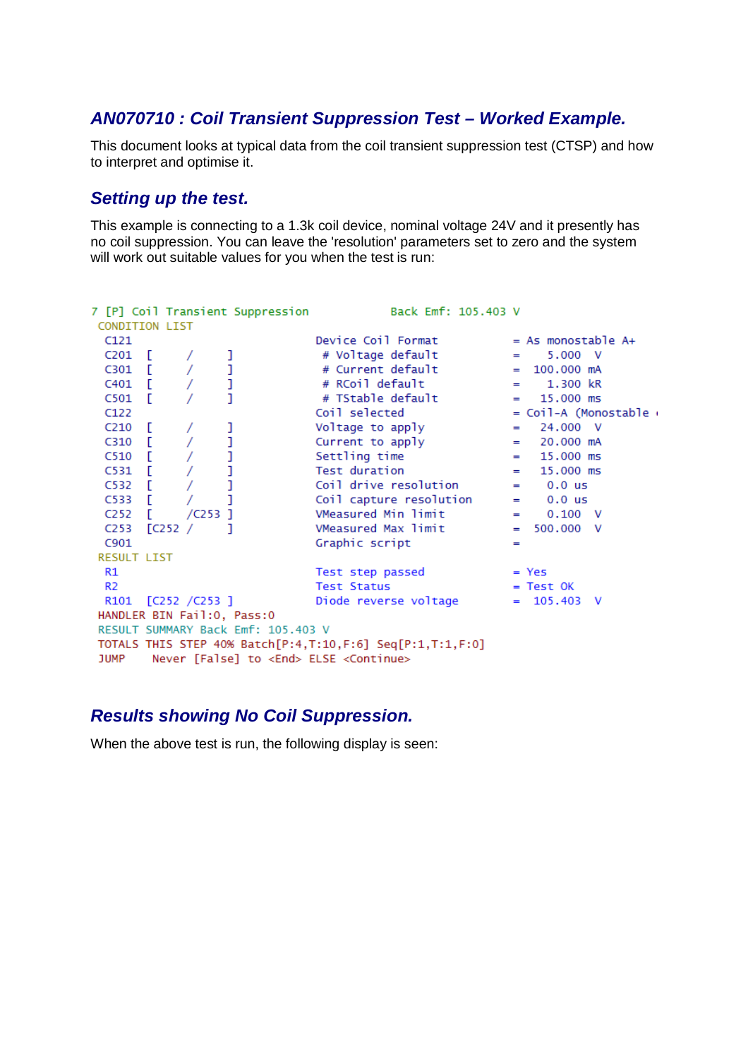#### *AN070710 : Coil Transient Suppression Test – Worked Example.*

This document looks at typical data from the coil transient suppression test (CTSP) and how to interpret and optimise it.

#### *Setting up the test.*

This example is connecting to a 1.3k coil device, nominal voltage 24V and it presently has no coil suppression. You can leave the 'resolution' parameters set to zero and the system will work out suitable values for you when the test is run:

```
7 [P] Coil Transient Suppression
                                                         Back Emf: 105.403 V
 CONDITION LIST
Case 1 and 1 and 1 and 1 and 1 and 1 and 1 and 1 and 1 and 1 and 1 and 1 and 1 and 1 and 1 and 1 and 1 and 1 and 1 and 1 and 1 and 1 and 1 and 1 and 1 and 1 and 1 and 1 and 1 and 1 and 1 and 1 and 1 and 1 and 1 and 1 and 
  C121Device Coil Format
                                                                                = As monostable A+C121<br>
C201 [ / ]<br>
C301 [ / ]<br>
C401 [ / ]<br>
C501 [ / ]<br>
C122
                                         Test step passed = Yes<br>Test Status = Test
  R1Test Status<br>Diode reverse voltage = 105.403 V
  R<sub>2</sub>
  R101 [C252 / C253]HANDLER BIN Fail:0, Pass:0
 RESULT SUMMARY Back Emf: 105.403 V
 TOTALS THIS STEP 40% Batch[P:4,T:10,F:6] Seq[P:1,T:1,F:0]
 JUMP Never [False] to <End> ELSE <Continue>
```
#### *Results showing No Coil Suppression.*

When the above test is run, the following display is seen: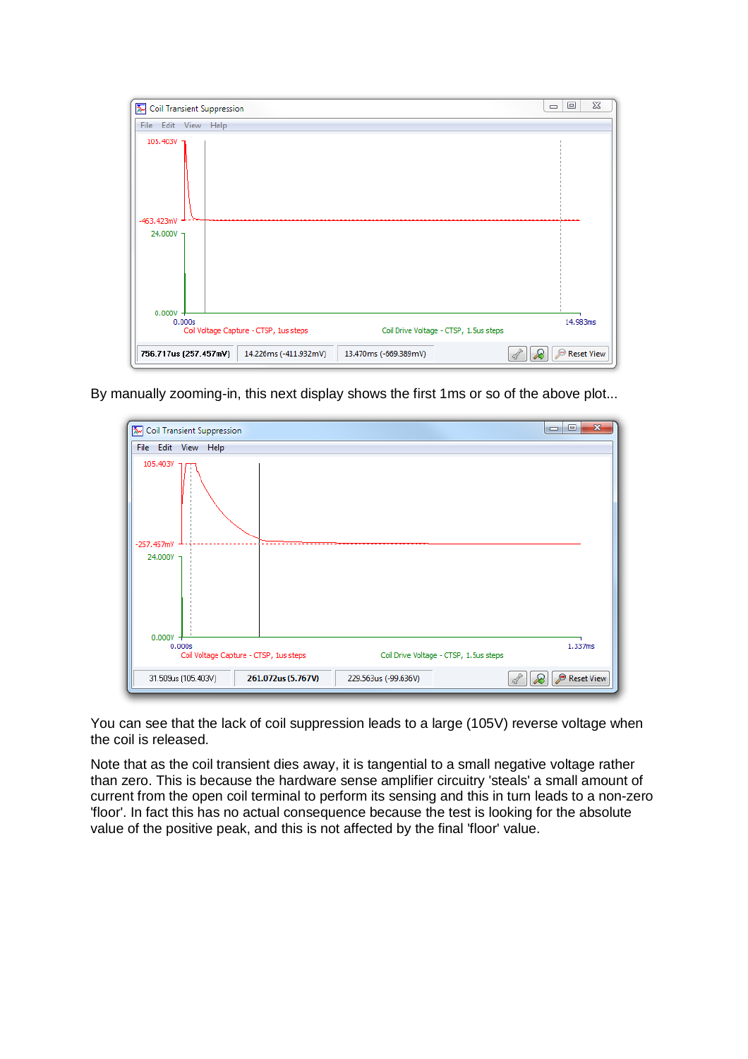|                                                                                       | Coil Transient Suppression | $\qquad \qquad \Box$ | $\Sigma\!3$<br>▣                       |                                        |  |          |
|---------------------------------------------------------------------------------------|----------------------------|----------------------|----------------------------------------|----------------------------------------|--|----------|
|                                                                                       | File Edit View Help        |                      |                                        |                                        |  |          |
| 105.403V 1<br>$-463.423mV$<br>24.000V 7                                               |                            |                      |                                        |                                        |  |          |
| 0.000V                                                                                | 0.000s                     |                      | Coil Voltage Capture - CTSP, 1us steps | Coil Drive Voltage - CTSP, 1.5us steps |  | 14.983ms |
| Reset View<br>756.717us (257.457mV)<br>14.226ms (-411.932mV)<br>13.470ms (-669.389mV) |                            |                      |                                        |                                        |  |          |

By manually zooming-in, this next display shows the first 1ms or so of the above plot...

| $\mathbf{x}$<br>$\Box$<br>$\blacksquare$<br>Coil Transient Suppression                     |                  |  |  |  |  |  |  |
|--------------------------------------------------------------------------------------------|------------------|--|--|--|--|--|--|
| File Edit View Help                                                                        |                  |  |  |  |  |  |  |
| 105.403V                                                                                   |                  |  |  |  |  |  |  |
| $-257.457mV$                                                                               |                  |  |  |  |  |  |  |
| 24.000V 7<br>0.000V                                                                        |                  |  |  |  |  |  |  |
| 0.000s<br>Coil Voltage Capture - CTSP, 1us steps<br>Coil Drive Voltage - CTSP, 1.5us steps | 1.337ms          |  |  |  |  |  |  |
| 31.509us (105.403V)<br>261.072us (5.767V)<br>229.563us (-99.636V)                          | Reset View<br>Æ. |  |  |  |  |  |  |

You can see that the lack of coil suppression leads to a large (105V) reverse voltage when the coil is released.

Note that as the coil transient dies away, it is tangential to a small negative voltage rather than zero. This is because the hardware sense amplifier circuitry 'steals' a small amount of current from the open coil terminal to perform its sensing and this in turn leads to a non-zero 'floor'. In fact this has no actual consequence because the test is looking for the absolute value of the positive peak, and this is not affected by the final 'floor' value.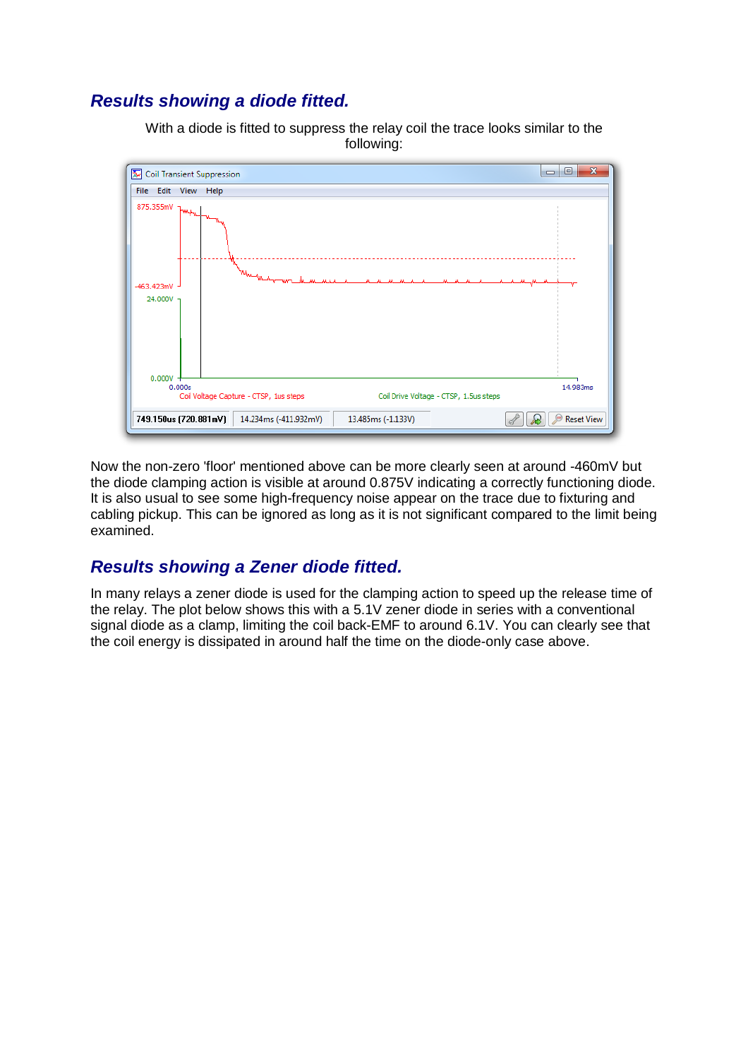## *Results showing a diode fitted.*

With a diode is fitted to suppress the relay coil the trace looks similar to the following:



Now the non-zero 'floor' mentioned above can be more clearly seen at around -460mV but the diode clamping action is visible at around 0.875V indicating a correctly functioning diode. It is also usual to see some high-frequency noise appear on the trace due to fixturing and cabling pickup. This can be ignored as long as it is not significant compared to the limit being examined.

### *Results showing a Zener diode fitted.*

In many relays a zener diode is used for the clamping action to speed up the release time of the relay. The plot below shows this with a 5.1V zener diode in series with a conventional signal diode as a clamp, limiting the coil back-EMF to around 6.1V. You can clearly see that the coil energy is dissipated in around half the time on the diode-only case above.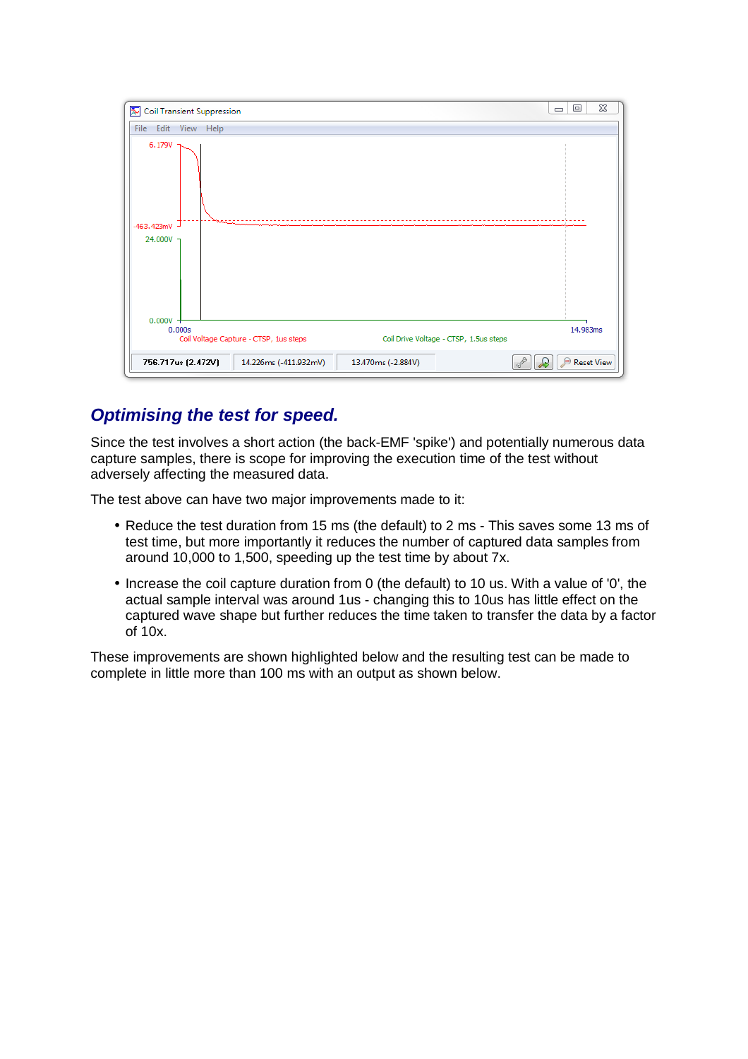

## *Optimising the test for speed.*

Since the test involves a short action (the back-EMF 'spike') and potentially numerous data capture samples, there is scope for improving the execution time of the test without adversely affecting the measured data.

The test above can have two major improvements made to it:

- Reduce the test duration from 15 ms (the default) to 2 ms This saves some 13 ms of test time, but more importantly it reduces the number of captured data samples from around 10,000 to 1,500, speeding up the test time by about 7x.
- Increase the coil capture duration from 0 (the default) to 10 us. With a value of '0', the actual sample interval was around 1us - changing this to 10us has little effect on the captured wave shape but further reduces the time taken to transfer the data by a factor of 10x.

These improvements are shown highlighted below and the resulting test can be made to complete in little more than 100 ms with an output as shown below.